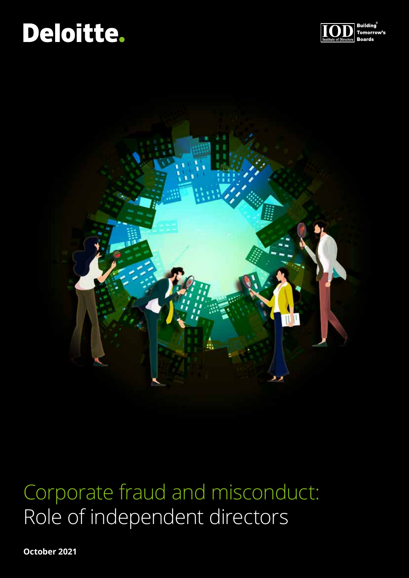# Deloitte.





# Corporate fraud and misconduct: Role of independent directors

**October 2021**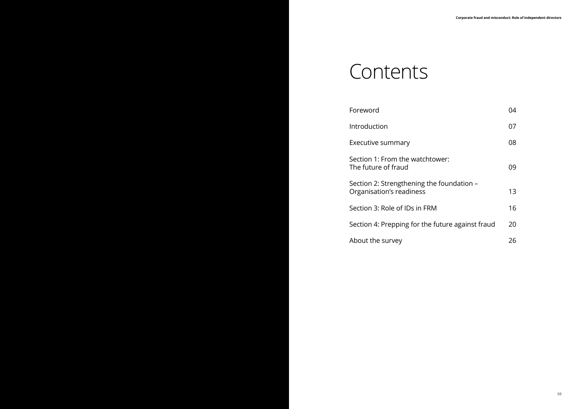# **Contents**

| Foreword                                                              | 04 |
|-----------------------------------------------------------------------|----|
| Introduction                                                          | 07 |
| Executive summary                                                     | 08 |
| Section 1: From the watchtower:<br>The future of fraud                | 09 |
| Section 2: Strengthening the foundation -<br>Organisation's readiness | 13 |
| Section 3: Role of IDs in FRM                                         | 16 |
| Section 4: Prepping for the future against fraud                      | 20 |
| About the survey                                                      | 26 |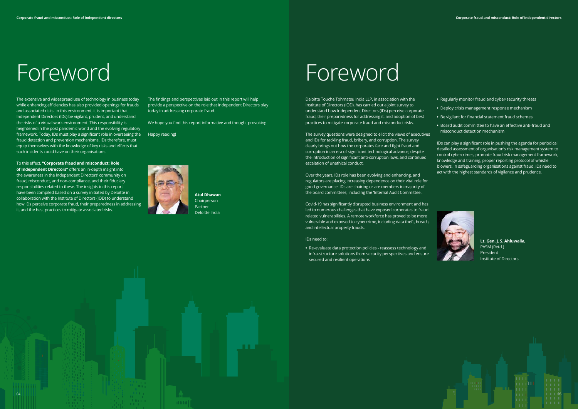# Foreword

The extensive and widespread use of technology in business today while enhancing efficiencies has also provided openings for frauds and associated risks. In this environment, it is important that Independent Directors (IDs) be vigilant, prudent, and understand the risks of a virtual work environment. This responsibility is heightened in the post pandemic world and the evolving regulatory framework. Today, IDs must play a significant role in overseeing the Happy reading! fraud detection and prevention mechanisms. IDs therefore, must equip themselves with the knowledge of key risks and effects that such incidents could have on their organisations.

To this effect, **"Corporate fraud and misconduct: Role of Independent Directors"** offers an in-depth insight into the awareness in the Independent Directors' community on fraud, misconduct, and non-compliance, and their fiduciary responsibilities related to these. The insights in this report have been compiled based on a survey initiated by Deloitte in collaboration with the Institute of Directors (IOD) to understand how IDs perceive corporate fraud, their preparedness in addressing it, and the best practices to mitigate associated risks.

The findings and perspectives laid out in this report will help provide a perspective on the role that Independent Directors play today in addressing corporate fraud.

We hope you find this report informative and thought provoking.



# Foreword

Deloitte Touche Tohmatsu India LLP, in association with the Institute of Directors (IOD), has carried out a joint survey to understand how Independent Directors (IDs) perceive corporate fraud, their preparedness for addressing it, and adoption of best practices to mitigate corporate fraud and misconduct risks.



The survey questions were designed to elicit the views of executives and IDs for tackling fraud, bribery, and corruption. The survey clearly brings out how the corporates face and fight fraud and corruption in an era of significant technological advance, despite the introduction of significant anti-corruption laws, and continued escalation of unethical conduct.

Over the years, IDs role has been evolving and enhancing, and regulators are placing increasing dependence on their vital role for good governance. IDs are chairing or are members in majority of the board committees, including the 'Internal Audit Committee'.

Covid-19 has significantly disrupted business environment and has led to numerous challenges that have exposed corporates to fraud related vulnerabilities. A remote workforce has proved to be more vulnerable and exposed to cybercrime, including data theft, breach, and intellectual property frauds.

### IDs need to:

**•** Re-evaluate data protection policies - reassess technology and infra-structure solutions from security perspectives and ensure secured and resilient operations

- **•** Regularly monitor fraud and cyber-security threats
- **•** Deploy crisis management response mechanism
- **•** Be vigilant for financial statement fraud schemes
- **•** Board audit committee to have an effective anti-fraud and misconduct detection mechanism

IDs can play a significant role in pushing the agenda for periodical detailed assessment of organisation's risk management system to control cybercrimes, promote fraud risk management framework, knowledge and training, proper reporting protocol of whistle blowers. In safeguarding organisations against fraud, IDs need to act with the highest standards of vigilance and prudence.



**Lt. Gen. J. S. Ahluwalia,** PVSM (Retd.) President Institute of Directors



**Atul Dhawan** Chairperson Partner Deloitte India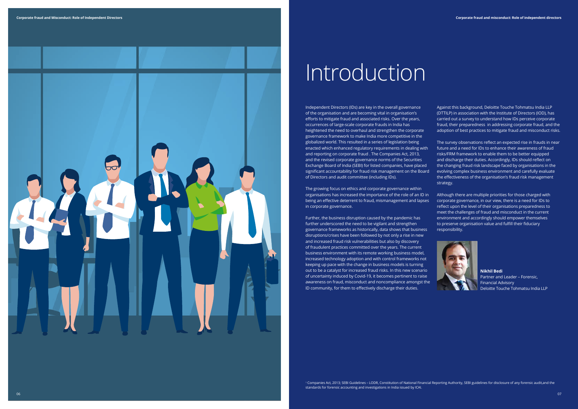

# **Introduction**

The growing focus on ethics and corporate governance within organisations has increased the importance of the role of an ID in being an effective deterrent to fraud, mismanagement and lapses in corporate governance.

Independent Directors (IDs) are key in the overall governance of the organisation and are becoming vital in organisation's efforts to mitigate fraud and associated risks. Over the years, occurrences of large-scale corporate frauds in India has heightened the need to overhaul and strengthen the corporate governance framework to make India more competitive in the globalized world. This resulted in a series of legislation being enacted which enhanced regulatory requirements in dealing with and reporting on corporate fraud . The Companies Act, 2013, and the revised corporate governance norms of the Securities Exchange Board of India (SEBI) for listed companies, have placed significant accountability for fraud risk management on the Board of Directors and audit committee (including IDs). Against this background, Deloitte Touche Tohmatsu India LLP (DTTILP) in association with the Institute of Directors (IOD), has carried out a survey to understand how IDs perceive corporate fraud, their preparedness in addressing corporate fraud, and the adoption of best practices to mitigate fraud and misconduct risks. The survey observations reflect an expected rise in frauds in near future and a need for IDs to enhance their awareness of fraud risks/FRM framework to enable them to be better equipped and discharge their duties. Accordingly, IDs should reflect on the changing fraud risk landscape faced by organisations in the evolving complex business environment and carefully evaluate the effectiveness of the organisation's fraud risk management strategy.

Further, the business disruption caused by the pandemic has further underscored the need to be vigilant and strengthen governance frameworks as historically, data shows that business disruptions/crises have been followed by not only a rise in new and increased fraud risk vulnerabilities but also by discovery of fraudulent practices committed over the years. The current business environment with its remote working business model, increased technology adoption and with control frameworks not keeping up pace with the change in business models is turning out to be a catalyst for increased fraud risks. In this new scenario of uncertainty induced by Covid-19, it becomes pertinent to raise awareness on fraud, misconduct and noncompliance amongst the ID community, for them to effectively discharge their duties.

Although there are multiple priorities for those charged with corporate governance, in our view, there is a need for IDs to reflect upon the level of their organisations preparedness to meet the challenges of fraud and misconduct in the current environment and accordingly should empower themselves to preserve organisation value and fulfill their fiduciary responsibility.



**Nikhil Bedi** Partner and Leader – Forensic, Financial Advisory Deloitte Touche Tohmatsu India LLP

1 Companies Act, 2013; SEBI Guidelines – LODR, Constitution of National Financial Reporting Authority, SEBI guidelines for disclosure of any forensic audit,and the standards for forensic accounting and investigations in India issued by ICAI.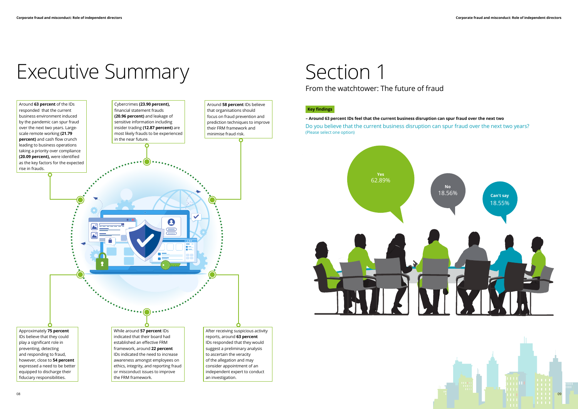# Executive Summary



# Section 1

From the watchtower: The future of fraud

# **Key findings**

**– Around 63 percent IDs feel that the current business disruption can spur fraud over the next two**  Do you believe that the current business disruption can spur fraud over the next two years? (Please select one option)



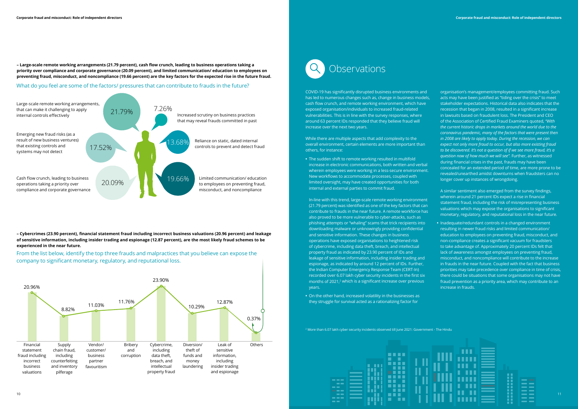**– Large-scale remote working arrangements (21.79 percent), cash flow crunch, leading to business operations taking a priority over compliance and corporate governance (20.09 percent), and limited communication/ education to employees on preventing fraud, misconduct, and noncompliance (19.66 percent) are the key factors for the expected rise in the future fraud.**

**– Cybercrimes (23.90 percent), financial statement fraud including incorrect business valuations (20.96 percent) and leakage of sensitive information, including insider trading and espionage (12.87 percent), are the most likely fraud schemes to be experienced in the near future.**

## What do you feel are some of the factors/ pressures that can contribute to frauds in the future?

From the list below, identify the top three frauds and malpractices that you believe can expose the company to significant monetary, regulatory, and reputational loss.





# **Observations**

2 More than 6.07 lakh cyber security incidents observed till June 2021: Government - The Hindu



COVID-19 has significantly disrupted business environments and has led to numerous changes such as, change in business models, cash flow crunch, and remote working environment, which have exposed organisation/individuals to increased fraud-related vulnerabilities. This is in line with the survey responses, where around 63 percent IDs responded that they believe fraud will increase over the next two years.

While there are multiple aspects that add complexity to the overall environment, certain elements are more important than others, for instance:

**•** The sudden shift to remote working resulted in multifold increase in electronic communications, both written and verbal wherein employees were working in a less-secure environment. New workflows to accommodate processes, coupled with limited oversight, may have created opportunities for both internal and external parties to commit fraud.

In-line with this trend, large-scale remote working environment (21.79 percent) was identified as one of the key factors that can contribute to frauds in the near future. A remote workforce has also proved to be more vulnerable to cyber-attacks, such as phishing attempts or "whaling" scams that trick recipients into downloading malware or unknowingly providing confidential and sensitive information. These changes in business operations have exposed organisations to heightened risk of cybercrime, including data theft, breach, and intellectual property fraud as indicated by 23.90 percent of IDs and leakage of sensitive information, including insider trading and espionage, as indicated by around 12 percent of IDs. Further, the Indian Computer Emergency Response Team (CERT-In) recorded over 6.07 lakh cyber security incidents in the first six months of 2021,<sup>2</sup> which is a significant increase over previous years.

**•** On the other hand, increased volatility in the businesses as they struggle for survival acted as a rationalizing factor for

organisation's management/employees committing fraud. Such acts may have been justified as "tiding over the crisis" to meet stakeholder expectations. Historical data also indicates that the recession that began in 2008, resulted in a significant increase in lawsuits based on fraudulent loss. The President and CEO of the Association of Certified Fraud Examiners quoted, *"With the current historic drops in markets around the world due to the coronavirus pandemic, many of the factors that were present then in 2008 are likely to apply today. During the recession, we can expect not only more fraud to occur, but also more existing fraud to be discovered. It's not a question of if we see more fraud, it's a question now of how much we will see".* Further, as witnessed during financial crises in the past, frauds may have been concealed for an extended period of time, are more prone to be revealed/unearthed amidst downturns when fraudsters can no longer cover up instances of wrongdoing.

A similar sentiment also emerged from the survey findings, wherein around 21 percent IDs expect a rise in financial statement fraud, including the risk of misrepresenting business valuations which may expose the organisations to significant monetary, regulatory, and reputational loss in the near future.

**•** Inadequate/redundant controls in a changed environment resulting in newer fraud risks and limited communication/ education to employees on preventing fraud, misconduct, and non-compliance creates a significant vacuum for fraudsters to take advantage of. Approximately 20 percent IDs felt that lack of awareness amongst employees on preventing fraud, misconduct, and noncompliance will contribute to the increase in frauds in the near future. Coupled with the fact that business priorities may take precedence over compliance in time of crisis, there could be situations that some organisations may not have fraud prevention as a priority area, which may contribute to an increase in frauds.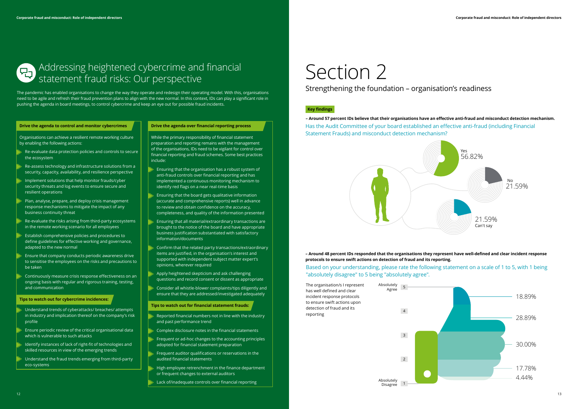

# **– Around 48 percent IDs responded that the organisations they represent have well-defined and clear incident response**

| The organisation/s I represent<br>has well defined and clear<br>incident response protocols<br>to ensure swift actions upon | Absolutely<br>Agree    | 5              |  |
|-----------------------------------------------------------------------------------------------------------------------------|------------------------|----------------|--|
| detection of fraud and its<br>reporting                                                                                     |                        | $\overline{4}$ |  |
|                                                                                                                             |                        | 3              |  |
|                                                                                                                             |                        | $2^{\circ}$    |  |
|                                                                                                                             | Absolutely<br>Disagree | 1              |  |

**protocols to ensure swift actions on detection of fraud and its reporting.**

## Based on your understanding, please rate the following statement on a scale of 1 to 5, with 1 being "absolutely disagree" to 5 being "absolutely agree".

Has the Audit Committee of your board established an effective anti-fraud (including Financial Statement Frauds) and misconduct detection mechanism? **– Around 57 percent IDs believe that their organisations have an effective anti-fraud and misconduct detection mechanism.**





# Strengthening the foundation – organisation's readiness

## **Key findings**

The pandemic has enabled organisations to change the way they operate and redesign their operating model. With this, organisations need to be agile and refresh their fraud prevention plans to align with the new normal. In this context, IDs can play a significant role in pushing the agenda in board meetings, to control cybercrime and keep an eye out for possible fraud incidents.

## **Drive the agenda to control and monitor cybercrimes**

Organisations can achieve a resilient remote working culture by enabling the following actions:

- Re-evaluate data protection policies and controls to secure the ecosystem
- Re-assess technology and infrastructure solutions from a security, capacity, availability, and resilience perspective
- Implement solutions that help monitor frauds/cyber security threats and log events to ensure secure and resilient operations
- Plan, analyse, prepare, and deploy crisis management response mechanisms to mitigate the impact of any business continuity threat
- Re-evaluate the risks arising from third-party ecosystems in the remote working scenario for all employees
- Establish comprehensive policies and procedures to define guidelines for effective working and governance, adapted to the new normal
- Ensure that company conducts periodic awareness drive to sensitise the employees on the risks and precautions to be taken
- Continuously measure crisis response effectiveness on an ongoing basis with regular and rigorous training, testing, and communication
- Ensuring that the organisation has a robust system of anti-fraud controls over financial reporting and has implemented a continuous monitoring mechanism to identify red flags on a near real-time basis
- Ensuring that the board gets qualitative information (accurate and comprehensive reports) well in advance to review and obtain confidence on the accuracy, completeness, and quality of the information presented
- Ensuring that all material/extraordinary transactions are brought to the notice of the board and have appropriate business justification substantiated with satisfactory information/documents
- Confirm that the related party transactions/extraordinary items are justified, in the organisation's interest and supported with independent subject matter expert's opinions, wherever required
- Apply heightened skepticism and ask challenging questions and record consent or dissent as appropriate
- Consider all whistle-blower complaints/tips diligently and ensure that they are addressed/investigated adequately

### **Tips to watch out for cybercrime incidences:**

- Understand trends of cyberattacks/ breaches/ attempts in industry and implication thereof on the company's risk profile
- Ensure periodic review of the critical organisational data which is vulnerable to such attacks
- Identify instances of lack of right-fit of technologies and skilled resources in view of the emerging trends
- Understand the fraud trends emerging from third-party eco-systems

## **Drive the agenda over financial reporting process**

While the primary responsibility of financial statement preparation and reporting remains with the management of the organisations, IDs need to be vigilant for control over financial reporting and fraud schemes. Some best practices include:

### **Tips to watch out for financial statement frauds:**

- Reported financial numbers not in line with the industry and past performance trend
- Complex disclosure notes in the financial statements
- Frequent or ad-hoc changes to the accounting principles adopted for financial statement preparation
- Frequent auditor qualifications or reservations in the audited financial statements
- High employee retrenchment in the finance department or frequent changes to external auditors
- Lack of/inadequate controls over financial reporting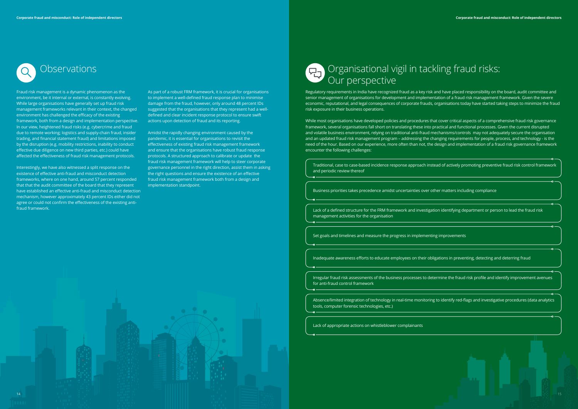of actively promoting preventive fraud risk control framework

matters including compliance

identifying department or person to lead the fraud risk

nprovements

ons in preventing, detecting and deterring fraud

ine the fraud risk profile and identify improvement avenues

dentify red-flags and investigative procedures (data analytics

Fraud risk management is a dynamic phenomenon as the environment, be it internal or external, is constantly evolving. While large organisations have generally set up fraud risk management frameworks relevant in their context, the changed environment has challenged the efficacy of the existing framework, both from a design and implementation perspective. In our view, heightened fraud risks (e.g. cybercrime and fraud due to remote working; logistics and supply-chain fraud, insider trading, and financial statement fraud) and limitations imposed by the disruption (e.g. mobility restrictions, inability to conduct effective due diligence on new third parties, etc.) could have affected the effectiveness of fraud risk management protocols.

Interestingly, we have also witnessed a split response on the existence of effective anti-fraud and misconduct detection frameworks, where on one hand, around 57 percent responded that that the audit committee of the board that they represent have established an effective anti-fraud and misconduct detection mechanism, however approximately 43 percent IDs either did not agree or could not confirm the effectiveness of the existing antifraud framework.

# Observations **Outling fraud risks:** Organisational vigil in tackling fraud risks: Our perspective

As part of a robust FRM framework, it is crucial for organisations to implement a well-defined fraud response plan to minimise damage from the fraud, however, only around 48 percent IDs suggested that the organisations that they represent had a welldefined and clear incident response protocol to ensure swift actions upon detection of fraud and its reporting.

Amidst the rapidly changing environment caused by the pandemic, it is essential for organisations to revisit the effectiveness of existing fraud risk management framework and ensure that the organisations have robust fraud response protocols. A structured approach to calibrate or update the fraud risk management framework will help to steer corporate governance personnel in the right direction, assist them in asking the right questions and ensure the existence of an effective fraud risk management framework both from a design and implementation standpoint.

Regulatory requirements in India have recognized fraud as a key risk and have placed responsibility on the board, audit committee and senior management of organisations for development and implementation of a fraud risk management framework. Given the severe economic, reputational, and legal consequences of corporate frauds, organisations today have started taking steps to minimize the fraud risk exposure in their business operations.

While most organisations have developed policies and procedures that cover critical aspects of a comprehensive fraud risk governance framework, several organisations fall short on translating these into practical and functional processes. Given the current disrupted and volatile business environment, relying on traditional anti-fraud mechanisms/controls may not adequately secure the organisation and an updated fraud risk management program – addressing the changing requirements for people, process, and technology - is the need of the hour. Based on our experience, more often than not, the design and implementation of a fraud risk governance framework encounter the following challenges:

| Traditional, case to case-based incidence response approach instead<br>and periodic review thereof                                      |
|-----------------------------------------------------------------------------------------------------------------------------------------|
|                                                                                                                                         |
| Business priorities takes precedence amidst uncertainties over other<br><u> 1989 - Johann Barn, mars eta bainar eta hiri (h. 1989).</u> |
|                                                                                                                                         |
| Lack of a defined structure for the FRM framework and investigation<br>management activities for the organisation                       |
|                                                                                                                                         |
| Set goals and timelines and measure the progress in implementing in<br><u> 1989 - Johann Stoff, amerikansk politiker (d. 1989)</u>      |
|                                                                                                                                         |
| Inadequate awareness efforts to educate employees on their obligat                                                                      |
|                                                                                                                                         |
| Irregular fraud risk assessments of the business processes to determ<br>for anti-fraud control framework                                |
|                                                                                                                                         |
| Absence/limited integration of technology in real-time monitoring to<br>tools, computer forensic technologies, etc.)                    |

Lack of appropriate actions on whistleblower complainants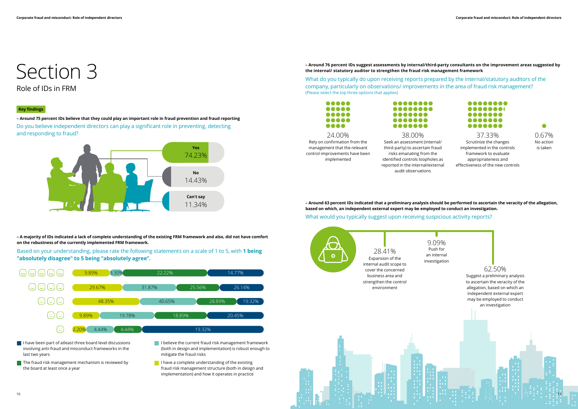



**– A majority of IDs indicated a lack of complete understanding of the existing FRM framework and also, did not have comfort on the robustness of the currently implemented FRM framework.** 

- $\blacksquare$  I have been part of atleast three board level discussions involving anti-fraud and misconduct frameworks in the last two years
- $\blacksquare$  The fraud risk management mechanism is reviewed by the board at least once a year
- I believe the current fraud risk management framework (both in design and implementation) is robust enough to mitigate the fraud risks
- $\blacksquare$  I have a complete understanding of the existing fraud risk management structure (both in design and implementation) and how it operates in practice

Based on your understanding, please rate the following statements on a scale of 1 to 5, with **1 being "absolutely disagree" to 5 being "absolutely agree".**

# Section 3 Role of IDs in FRM

Do you believe independent directors can play a significant role in preventing, detecting and responding to fraud? **– Around 75 percent IDs believe that they could play an important role in fraud prevention and fraud reporting**



## **Key findings**

**– Around 76 percent IDs suggest assessments by internal/third-party consultants on the improvement areas suggested by the internal/ statutory auditor to strengthen the fraud risk management framework**

What do you typically do upon receiving reports prepared by the internal/statutory auditors of the company, particularly on observations/ improvements in the area of fraud risk management? (Please select the top three options that applies)



....... .......

What would you typically suggest upon receiving suspicious activity reports? **– Around 63 percent IDs indicated that a preliminary analysis should be performed to ascertain the veracity of the allegation, based on which, an independent external expert may be employed to conduct an investigation.**





Rely on confirmation from the management that the relevant control improvements have been implemented



reported in the internal/external

audit observations

Scrutinize the changes implemented in the controls framework to evaluate appropriateness and effectiveness of the new controls

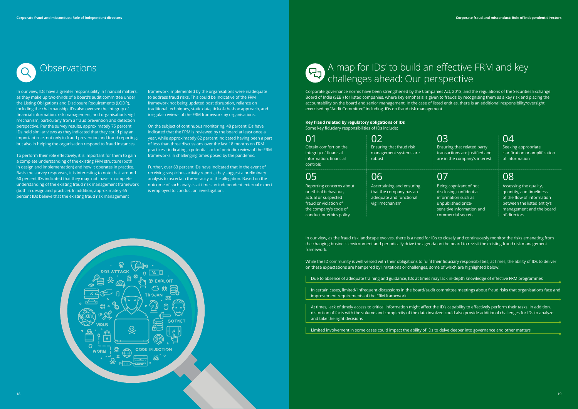## Obtain comfort on the integrity of financial information, financial controls 01 02 03 04

## **Key fraud related by regulatory obligations of IDs**

Some key fiduciary responsibilities of IDs include:

Reporting concerns about unethical behaviour, actual or suspected fraud or violation of the company's code of conduct or ethics policy

Ensuring that related party transactions are justified and are in the company's interest

Being cognizant of not disclosing confidential information such as unpublished pricesensitive information and commercial secrets

# Ensuring that fraud risk management systems are robust

Seeking appropriate clarification or amplification of information

# Ascertaining and ensuring that the company has an adequate and functional vigil mechanism 05 06 07 08

Assessing the quality, quantity, and timeliness of the flow of information between the listed entity's management and the board of directors.

In our view, IDs have a greater responsibility in financial matters, as they make up two-thirds of a board's audit committee under the Listing Obligations and Disclosure Requirements (LODR), including the chairmanship. IDs also oversee the integrity of financial information, risk management, and organisation's vigil mechanism, particularly from a fraud prevention and detection perspective. Per the survey results, approximately 75 percent IDs held similar views as they indicated that they could play an important role, not only in fraud prevention and fraud reporting, but also in helping the organisation respond to fraud instances.

To perform their role effectively, it is important for them to gain a complete understanding of the existing FRM structure (both in design and implementation) and how it operates in practice. Basis the survey responses, it is interesting to note that around 60 percent IDs indicated that they may not have a complete understanding of the existing fraud risk management framework (both in design and practice). In addition, approximately 65 percent IDs believe that the existing fraud risk management

framework implemented by the organisations were inadequate to address fraud risks. This could be indicative of the FRM framework not being updated post disruption, reliance on traditional techniques, static data, tick-of-the-box approach, and irregular reviews of the FRM framework by organisations.

On the subject of continuous monitoring, 48 percent IDs have indicated that the FRM is reviewed by the board at least once a year, while approximately 62 percent indicated having been a part of less than three discussions over the last 18 months on FRM practices - indicating a potential lack of periodic review of the FRM frameworks in challenging times posed by the pandemic.

Further, over 63 percent IDs have indicated that in the event of receiving suspicious activity reports, they suggest a preliminary analysis to ascertain the veracity of the allegation. Based on the outcome of such analysis at times an independent external expert is employed to conduct an investigation.



# Observations A map for IDs' to build an effective FRM and key challenges ahead: Our perspective

Corporate governance norms have been strengthened by the Companies Act, 2013, and the regulations of the Securities Exchange Board of India (SEBI) for listed companies, where key emphasis is given to frauds by recognising them as a key risk and placing the accountability on the board and senior management. In the case of listed entities, there is an additional responsibility/oversight exercised by "Audit Committee" including IDs on fraud risk management.

In our view, as the fraud risk landscape evolves, there is a need for IDs to closely and continuously monitor the risks emanating from the changing business environment and periodically drive the agenda on the board to revisit the existing fraud risk management framework.

While the ID community is well versed with their obligations to fulfil their fiduciary responsibilities, at times, the ability of IDs to deliver on these expectations are hampered by limitations or challenges, some of which are highlighted below:

Due to absence of adequate training and guidance, IDs at times may lack in-depth knowledge of effective FRM programmes

In certain cases, limited/ infrequent discussions in the board/audit committee meetings about fraud risks that organisations face and improvement requirements of the FRM framework

At times, lack of timely access to critical information might affect the ID's capability to effectively perform their tasks. In addition, distortion of facts with the volume and complexity of the data involved could also provide additional challenges for IDs to analyze and take the right decisions

Limited involvement in some cases could impact the ability of IDs to delve deeper into governance and other matters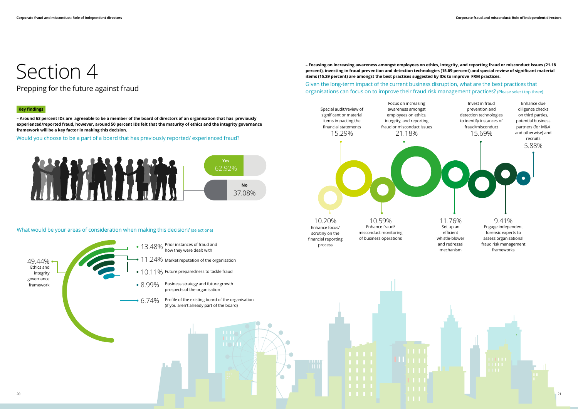# Section 4

Would you choose to be a part of a board that has previously reported/ experienced fraud?



What would be your areas of consideration when making this decision? (select one)

# Prepping for the future against fraud

## **Key findings**



**– Around 63 percent IDs are agreeable to be a member of the board of directors of an organisation that has previously experienced/reported fraud, however, around 50 percent IDs felt that the maturity of ethics and the integrity governance framework will be a key factor in making this decision.**

## **– Focusing on increasing awareness amongst employees on ethics, integrity, and reporting fraud or misconduct issues (21.18 percent), investing in fraud prevention and detection technologies (15.69 percent) and special review of significant material items (15.29 percent) are amongst the best practises suggested by IDs to improve FRM practices.**

# Given the long-term impact of the current business disruption, what are the best practices that organisations can focus on to improve their fraud risk management practices? (Please select top three)

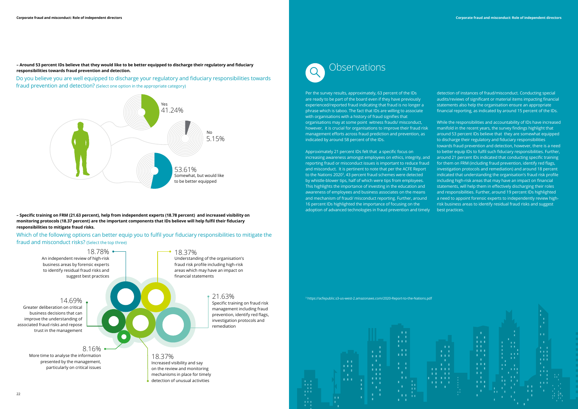**– Around 53 percent IDs believe that they would like to be better equipped to discharge their regulatory and fiduciary responsibilities towards fraud prevention and detection.**



Do you believe you are well equipped to discharge your regulatory and fiduciary responsibilities towards fraud prevention and detection? (Select one option in the appropriate category)

Which of the following options can better equip you to fulfil your fiduciary responsibilities to mitigate the fraud and misconduct risks? (Select the top three)



# **Observations**

**– Specific training on FRM (21.63 percent), help from independent experts (18.78 percent) and increased visibility on monitoring protocols (18.37 percent) are the important components that IDs believe will help fulfil their fiduciary responsibilities to mitigate fraud risks.**

3 https://acfepublic.s3-us-west-2.amazonaws.com/2020-Report-to-the-Nations.pdf



Per the survey results, approximately, 63 percent of the IDs are ready to be part of the board even if they have previously experienced/reported fraud indicating that fraud is no longer a phrase which is taboo. The fact that IDs are willing to associate with organisations with a history of fraud signifies that organisations may at some point witness frauds/ misconduct, however, it is crucial for organisations to improve their fraud risk management efforts across fraud prediction and prevention, as indicated by around 58 percent of the IDs.

Approximately 21 percent IDs felt that a specific focus on increasing awareness amongst employees on ethics, integrity, and reporting fraud or misconduct issues is important to reduce fraud and misconduct. It is pertinent to note that per the ACFE Report to the Nations 2020<sup>3</sup>, 43 percent fraud schemes were detected by whistle-blower tips, half of which were tips from employees. This highlights the importance of investing in the education and awareness of employees and business associates on the means and mechanism of fraud/ misconduct reporting. Further, around 16 percent IDs highlighted the importance of focusing on the adoption of advanced technologies in fraud prevention and timely While the responsibilities and accountability of IDs have increased manifold in the recent years, the survey findings highlight that around 53 percent IDs believe that they are somewhat equipped to discharge their regulatory and fiduciary responsibilities towards fraud prevention and detection, however, there is a need to better equip IDs to fulfil such fiduciary responsibilities. Further, around 21 percent IDs indicated that conducting specific training for them on FRM (including fraud prevention, identify red flags, investigation protocols and remediation) and around 18 percent indicated that understanding the organisation's fraud risk profile including high-risk areas that may have an impact on financial statements, will help them in effectively discharging their roles and responsibilities. Further, around 19 percent IDs highlighted a need to appoint forensic experts to independently review highrisk business areas to identify residual fraud risks and suggest best practices.

detection of instances of fraud/misconduct. Conducting special audits/reviews of significant or material items impacting financial statements also help the organisation ensure an appropriate financial reporting, as indicated by around 15 percent of the IDs.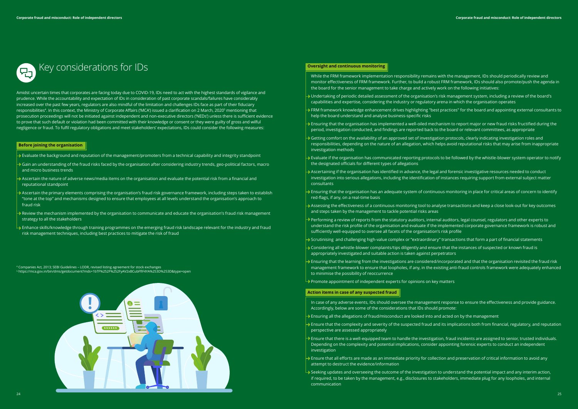

Amidst uncertain times that corporates are facing today due to COVID-19, IDs need to act with the highest standards of vigilance and prudence. While the accountability and expectation of IDs in consideration of past corporate scandals/failures have considerably increased over the past few years, regulators are also mindful of the limitation and challenges IDs face as part of their fiduciary responsibilities<sup>4</sup>. In this context, the Ministry of Corporate Affairs ('MCA') issued a clarification on 2 March, 2020<sup>s</sup> mentioning that prosecution proceedings will not be initiated against independent and non-executive directors ('NEDs') unless there is sufficient evidence to prove that such default or violation had been committed with their knowledge or consent or they were guilty of gross and wilful negligence or fraud. To fulfil regulatory obligations and meet stakeholders' expectations, IDs could consider the following measures:



# Key considerations for IDs

- $\rightarrow$  Evaluate the background and reputation of the management/promoters from a technical capability and integrity standpoint
- Gain an understanding of the fraud risks faced by the organisation after considering industry trends, geo-political factors, macro and micro business trends
- $\blacktriangleright$  Ascertain the nature of adverse news/media items on the organisation and evaluate the potential risk from a financial and reputational standpoint
- Ascertain the primary elements comprising the organisation's fraud risk governance framework, including steps taken to establish "tone at the top" and mechanisms designed to ensure that employees at all levels understand the organisation's approach to fraud risk
- Review the mechanism implemented by the organisation to communicate and educate the organisation's fraud risk management strategy to all the stakeholders
- $\rightarrow$  Enhance skills/knowledge through training programmes on the emerging fraud risk landscape relevant for the industry and fraud risk management techniques, including best practices to mitigate the risk of fraud

### **Before joining the organisation**

- While the FRM framework implementation responsibility remains with the management, IDs should periodically review and monitor effectiveness of FRM framework. Further, to build a robust FRM framework, IDs should also promote/push the agenda in the board for the senior management to take charge and actively work on the following initiatives:
- Undertaking of periodic detailed assessment of the organisation's risk management system, including a review of the board's capabilities and expertise, considering the industry or regulatory arena in which the organisation operates
- FRM framework knowledge enhancement drives highlighting "best practices" for the board and appointing external consultants to help the board understand and analyse business-specific risks
- Ensuring that the organisation has implemented a well-oiled mechanism to report major or new fraud risks fructified during the period, investigation conducted, and findings are reported back to the board or relevant committees, as appropriate
- Getting comfort on the availability of an approved set of investigation protocols, clearly indicating investigation roles and responsibilities, depending on the nature of an allegation, which helps avoid reputational risks that may arise from inappropriate investigation methods
- Evaluate if the organisation has communicated reporting protocols to be followed by the whistle-blower system operator to notify the designated officials for different types of allegations
- $\blacktriangleright$  Ascertaining if the organisation has identified in advance, the legal and forensic investigative resources needed to conduct investigation into serious allegations, including the identification of instances requiring support from external subject matter consultants
- Ensuring that the organisation has an adequate system of continuous monitoring in place for critical areas of concern to identify red-flags, if any, on a real-time basis
- Assessing the effectiveness of a continuous monitoring tool to analyse transactions and keep a close look-out for key outcomes and steps taken by the management to tackle potential risks areas
- Performing a review of reports from the statutory auditors, internal auditors, legal counsel, regulators and other experts to understand the risk profile of the organisation and evaluate if the implemented corporate governance framework is robust and sufficiently well-equipped to oversee all facets of the organisation's risk profile
- Scrutinising and challenging high-value complex or "extraordinary" transactions that form a part of financial statements
- Considering all whistle-blower complaints/tips diligently and ensure that the instances of suspected or known fraud is appropriately investigated and suitable action is taken against perpetrators
- $\blacktriangleright$  Ensuring that the learning from the investigations are considered/incorporated and that the organisation revisited the fraud risk management framework to ensure that loopholes, if any, in the existing anti-fraud controls framework were adequately enhanced to minimise the possibility of reoccurrence
- $\rightarrow$  Promote appointment of independent experts for opinions on key matters

4 Companies Act, 2013; SEBI Guidelines – LODR, revised listing agreement for stock exchanges 5 https://mca.gov.in/bin/dms/getdocument?mds=1bTF%252F%252FyAV2xBCubFfIF4YA%253D%253D&type=open

## **Oversight and continuous monitoring**

## **Action items in case of any suspected fraud**

- In case of any adverse events, IDs should oversee the management response to ensure the effectiveness and provide guidance. Accordingly, below are some of the considerations that IDs should promote:
- **Ensuring all the allegations of fraud/misconduct are looked into and acted on by the management**
- Ensure that the complexity and severity of the suspected fraud and its implications both from financial, regulatory, and reputation perspective are assessed appropriately
- Ensure that there is a well-equipped team to handle the investigation, fraud incidents are assigned to senior, trusted individuals. Depending on the complexity and potential implications, consider appointing forensic experts to conduct an independent investigation
- Ensure that all efforts are made as an immediate priority for collection and preservation of critical information to avoid any attempt to destruct the evidence/information
- $\rightarrow$  Seeking updates and overseeing the outcome of the investigation to understand the potential impact and any interim action, if required, to be taken by the management, e.g., disclosures to stakeholders, immediate plug for any loopholes, and internal communication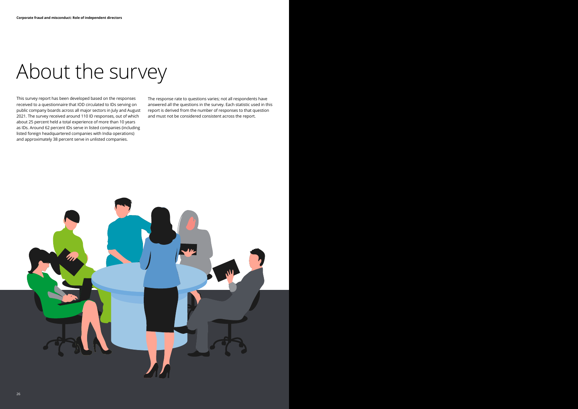# About the survey

This survey report has been developed based on the responses received to a questionnaire that IOD circulated to IDs serving on public company boards across all major sectors in July and August 2021. The survey received around 110 ID responses, out of which about 25 percent held a total experience of more than 10 years as IDs. Around 62 percent IDs serve in listed companies (including listed foreign headquartered companies with India operations) and approximately 38 percent serve in unlisted companies.

The response rate to questions varies; not all respondents have answered all the questions in the survey. Each statistic used in this report is derived from the number of responses to that question and must not be considered consistent across the report.